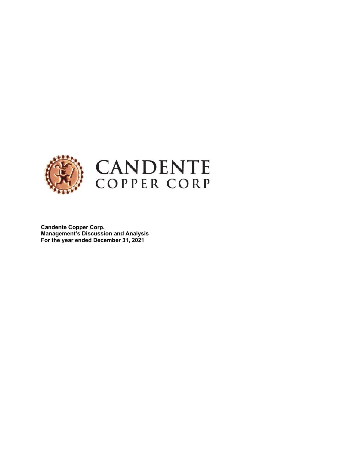

**Candente Copper Corp. Management's Discussion and Analysis For the year ended December 31, 2021**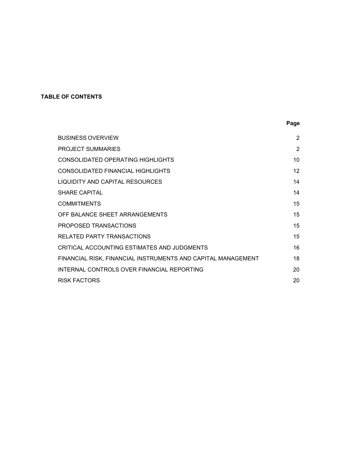# **TABLE OF CONTENTS**

|                                                              | Page            |
|--------------------------------------------------------------|-----------------|
| <b>BUSINESS OVERVIEW</b>                                     | $\overline{2}$  |
| <b>PROJECT SUMMARIES</b>                                     | $\overline{2}$  |
| <b>CONSOLIDATED OPERATING HIGHLIGHTS</b>                     | 10              |
| <b>CONSOLIDATED FINANCIAL HIGHLIGHTS</b>                     | 12 <sup>2</sup> |
| LIQUIDITY AND CAPITAL RESOURCES                              | 14              |
| <b>SHARE CAPITAL</b>                                         | 14              |
| <b>COMMITMENTS</b>                                           | 15              |
| OFF BALANCE SHEET ARRANGEMENTS                               | 15              |
| PROPOSED TRANSACTIONS                                        | 15              |
| RELATED PARTY TRANSACTIONS                                   | 15              |
| CRITICAL ACCOUNTING ESTIMATES AND JUDGMENTS                  | 16              |
| FINANCIAL RISK, FINANCIAL INSTRUMENTS AND CAPITAL MANAGEMENT | 18              |
| INTERNAL CONTROLS OVER FINANCIAL REPORTING                   | 20              |
| <b>RISK FACTORS</b>                                          | 20              |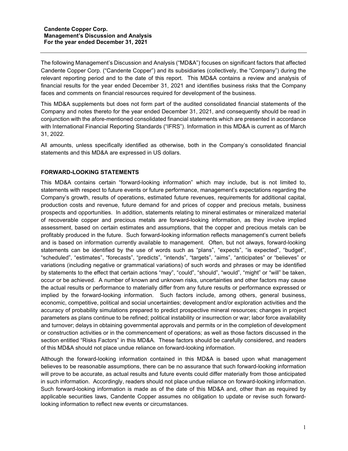The following Management's Discussion and Analysis ("MD&A") focuses on significant factors that affected Candente Copper Corp. ("Candente Copper") and its subsidiaries (collectively, the "Company") during the relevant reporting period and to the date of this report. This MD&A contains a review and analysis of financial results for the year ended December 31, 2021 and identifies business risks that the Company faces and comments on financial resources required for development of the business.

This MD&A supplements but does not form part of the audited consolidated financial statements of the Company and notes thereto for the year ended December 31, 2021, and consequently should be read in conjunction with the afore-mentioned consolidated financial statements which are presented in accordance with International Financial Reporting Standards ("IFRS"). Information in this MD&A is current as of March 31, 2022.

All amounts, unless specifically identified as otherwise, both in the Company's consolidated financial statements and this MD&A are expressed in US dollars.

## **FORWARD-LOOKING STATEMENTS**

This MD&A contains certain "forward-looking information" which may include, but is not limited to, statements with respect to future events or future performance, management's expectations regarding the Company's growth, results of operations, estimated future revenues, requirements for additional capital, production costs and revenue, future demand for and prices of copper and precious metals, business prospects and opportunities. In addition, statements relating to mineral estimates or mineralized material of recoverable copper and precious metals are forward-looking information, as they involve implied assessment, based on certain estimates and assumptions, that the copper and precious metals can be profitably produced in the future. Such forward-looking information reflects management's current beliefs and is based on information currently available to management. Often, but not always, forward-looking statements can be identified by the use of words such as "plans", "expects", "is expected", "budget", "scheduled", "estimates", "forecasts", "predicts", "intends", "targets", "aims", "anticipates" or "believes" or variations (including negative or grammatical variations) of such words and phrases or may be identified by statements to the effect that certain actions "may", "could", "should", "would", "might" or "will" be taken, occur or be achieved. A number of known and unknown risks, uncertainties and other factors may cause the actual results or performance to materially differ from any future results or performance expressed or implied by the forward-looking information. Such factors include, among others, general business, economic, competitive, political and social uncertainties; development and/or exploration activities and the accuracy of probability simulations prepared to predict prospective mineral resources; changes in project parameters as plans continue to be refined; political instability or insurrection or war; labor force availability and turnover; delays in obtaining governmental approvals and permits or in the completion of development or construction activities or in the commencement of operations; as well as those factors discussed in the section entitled "Risks Factors" in this MD&A. These factors should be carefully considered, and readers of this MD&A should not place undue reliance on forward-looking information.

Although the forward-looking information contained in this MD&A is based upon what management believes to be reasonable assumptions, there can be no assurance that such forward-looking information will prove to be accurate, as actual results and future events could differ materially from those anticipated in such information. Accordingly, readers should not place undue reliance on forward-looking information. Such forward-looking information is made as of the date of this MD&A and, other than as required by applicable securities laws, Candente Copper assumes no obligation to update or revise such forwardlooking information to reflect new events or circumstances.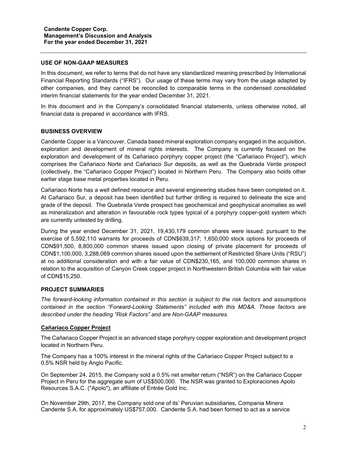#### **USE OF NON-GAAP MEASURES**

In this document, we refer to terms that do not have any standardized meaning prescribed by International Financial Reporting Standards ("IFRS"). Our usage of these terms may vary from the usage adapted by other companies, and they cannot be reconciled to comparable terms in the condensed consolidated interim financial statements for the year ended December 31, 2021.

In this document and in the Company's consolidated financial statements, unless otherwise noted, all financial data is prepared in accordance with IFRS.

## **BUSINESS OVERVIEW**

Candente Copper is a Vancouver, Canada based mineral exploration company engaged in the acquisition, exploration and development of mineral rights interests. The Company is currently focused on the exploration and development of its Cañariaco porphyry copper project (the "Cañariaco Project"), which comprises the Cañariaco Norte and Cañariaco Sur deposits, as well as the Quebrada Verde prospect (collectively, the "Cañariaco Copper Project") located in Northern Peru. The Company also holds other earlier stage base metal properties located in Peru.

Cañariaco Norte has a well defined resource and several engineering studies have been completed on it. At Cañariaco Sur, a deposit has been identified but further drilling is required to delineate the size and grade of the deposit. The Quebrada Verde prospect has geochemical and geophysical anomalies as well as mineralization and alteration in favourable rock types typical of a porphyry copper-gold system which are currently untested by drilling.

During the year ended December 31, 2021, 19,430,179 common shares were issued: pursuant to the exercise of 5,592,110 warrants for proceeds of CDN\$639,317; 1,650,000 stock options for proceeds of CDN\$91,500, 8,800,000 common shares issued upon closing of private placement for proceeds of CDN\$1,100,000, 3,288,069 common shares issued upon the settlement of Restricted Share Units ("RSU") at no additional consideration and with a fair value of CDN\$230,165, and 100,000 common shares in relation to the acquisition of Canyon Creek copper project in Northwestern British Columbia with fair value of CDN\$15,250.

## **PROJECT SUMMARIES**

*The forward-looking information contained in this section is subject to the risk factors and assumptions contained in the section "Forward-Looking Statements" included with this MD&A. These factors are described under the heading "Risk Factors" and are Non-GAAP measures.*

## **Cañariaco Copper Project**

The Cañariaco Copper Project is an advanced stage porphyry copper exploration and development project located in Northern Peru.

The Company has a 100% interest in the mineral rights of the Cañariaco Copper Project subject to a 0.5% NSR held by Anglo Pacific.

On September 24, 2015, the Company sold a 0.5% net smelter return ("NSR") on the Cañariaco Copper Project in Peru for the aggregate sum of US\$500,000. The NSR was granted to Exploraciones Apolo Resources S.A.C. ("Apolo"), an affiliate of Entrée Gold Inc.

On November 29th, 2017, the Company sold one of its' Peruvian subsidiaries, Compania Minera Candente S.A. for approximately US\$757,000. Candente S.A. had been formed to act as a service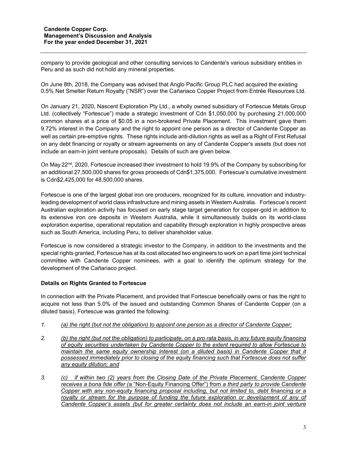company to provide geological and other consulting services to Candente's various subsidiary entities in Peru and as such did not hold any mineral properties.

On June 8th, 2018, the Company was advised that Anglo Pacific Group PLC had acquired the existing 0.5% Net Smelter Return Royalty ("NSR") over the Cañariaco Copper Project from Entrée Resources Ltd.

On January 21, 2020, Nascent Exploration Pty Ltd., a wholly owned subsidiary of Fortescue Metals Group Ltd. (collectively "Fortescue") made a strategic investment of Cdn \$1,050,000 by purchasing 21,000,000 common shares at a price of \$0.05 in a non-brokered Private Placement. This investment gave them 9.72% interest in the Company and the right to appoint one person as a director of Candente Copper as well as certain pre-emptive rights. These rights include anti-dilution rights as well as a Right of First Refusal on any debt financing or royalty or stream agreements on any of Candente Copper's assets (but does not include an earn-in joint venture proposals). Details of such are given below.

On May 22<sup>nd</sup>, 2020, Fortescue increased their investment to hold 19.9% of the Company by subscribing for an additional 27,500,000 shares for gross proceeds of Cdn\$1,375,000. Fortescue's cumulative investment is Cdn\$2,425,000 for 48,500,000 shares.

Fortescue is one of the largest global iron ore producers, recognized for its culture, innovation and industryleading development of world class infrastructure and mining assets in Western Australia. Fortescue's recent Australian exploration activity has focused on early stage target generation for copper-gold in addition to its extensive iron ore deposits in Western Australia, while it simultaneously builds on its world-class exploration expertise, operational reputation and capability through exploration in highly prospective areas such as South America, including Peru, to deliver shareholder value.

Fortescue is now considered a strategic investor to the Company, in addition to the investments and the special rights granted, Fortescue has at its cost allocated two engineers to work on a part time joint technical committee with Candente Copper nominees, with a goal to identify the optimum strategy for the development of the Cañariaco project.

## **Details on Rights Granted to Fortescue**

In connection with the Private Placement, and provided that Fortescue beneficially owns or has the right to acquire not less than 5.0% of the issued and outstanding Common Shares of Candente Copper (on a diluted basis), Fortescue was granted the following:

- *1. (a) the right (but not the obligation) to appoint one person as a director of Candente Copper;*
- *2. (b) the right (but not the obligation) to participate, on a pro rata basis, in any future equity financing of equity securities undertaken by Candente Copper to the extent required to allow Fortescue to maintain the same equity ownership interest (on a diluted basis) in Candente Copper that it possessed immediately prior to closing of the equity financing such that Fortescue does not suffer any equity dilution; and*
- *3. (c) if within two (2) years from the Closing Date of the Private Placement, Candente Copper receives a bona fide offer (*a "Non-Equity Financing Offer") from *a third party to provide Candente Copper with any non-equity financing proposal including, but not limited to, debt financing or a*  royalty or stream for the purpose of funding the future exploration or development of any of *Candente Copper's assets (but for greater certainty does not include an earn-in joint venture*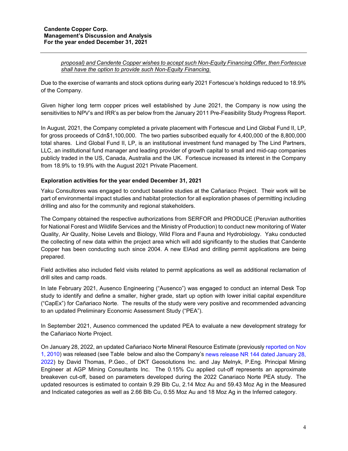*proposal) and Candente Copper wishes to accept such Non-Equity Financing Offer, then Fortescue shall have the option to provide such Non-Equity Financing.*

Due to the exercise of warrants and stock options during early 2021 Fortescue's holdings reduced to 18.9% of the Company.

Given higher long term copper prices well established by June 2021, the Company is now using the sensitivities to NPV's and IRR's as per below from the January 2011 Pre-Feasibility Study Progress Report.

In August, 2021, the Company completed a private placement with Fortescue and Lind Global Fund II, LP, for gross proceeds of Cdn\$1,100,000. The two parties subscribed equally for 4,400,000 of the 8,800,000 total shares. Lind Global Fund II, LP, is an institutional investment fund managed by The Lind Partners, LLC, an institutional fund manager and leading provider of growth capital to small and mid-cap companies publicly traded in the US, Canada, Australia and the UK. Fortescue increased its interest in the Company from 18.9% to 19.9% with the August 2021 Private Placement.

## **Exploration activities for the year ended December 31, 2021**

Yaku Consultores was engaged to conduct baseline studies at the Cañariaco Project. Their work will be part of environmental impact studies and habitat protection for all exploration phases of permitting including drilling and also for the community and regional stakeholders.

The Company obtained the respective authorizations from SERFOR and PRODUCE (Peruvian authorities for National Forest and Wildlife Services and the Ministry of Production) to conduct new monitoring of Water Quality, Air Quality, Noise Levels and Biology, Wild Flora and Fauna and Hydrobiology. Yaku conducted the collecting of new data within the project area which will add significantly to the studies that Candente Copper has been conducting such since 2004. A new EIAsd and drilling permit applications are being prepared.

Field activities also included field visits related to permit applications as well as additional reclamation of drill sites and camp roads.

In late February 2021, Ausenco Engineering ("Ausenco") was engaged to conduct an internal Desk Top study to identify and define a smaller, higher grade, start up option with lower initial capital expenditure ("CapEx") for Cañariaco Norte. The results of the study were very positive and recommended advancing to an updated Preliminary Economic Assessment Study ("PEA").

In September 2021, Ausenco commenced the updated PEA to evaluate a new development strategy for the Cañariaco Norte Project.

On January 28, 2022, an updated Cañariaco Norte Mineral Resource Estimate (previously [reported on Nov](https://candentecopper.com/news-releases/news-releases/2010/ca-ariaco-norte-copper-resource-increases-significantly/)  [1, 2010\)](https://candentecopper.com/news-releases/news-releases/2010/ca-ariaco-norte-copper-resource-increases-significantly/) was released (see Table below and also the Company's [news release NR 144 dated January 28,](https://candentecopper.com/news-releases/news-releases/2022/candente-copper-announces-initial-inferred-resource-for-canariaco-sur-copper-gold-porphyry-updates-canariaco-norte-resource-peru/)  [2022\)](https://candentecopper.com/news-releases/news-releases/2022/candente-copper-announces-initial-inferred-resource-for-canariaco-sur-copper-gold-porphyry-updates-canariaco-norte-resource-peru/) by David Thomas, P.Geo., of DKT Geosolutions Inc. and Jay Melnyk, P.Eng. Principal Mining Engineer at AGP Mining Consultants Inc. The 0.15% Cu applied cut-off represents an approximate breakeven cut-off, based on parameters developed during the 2022 Canariaco Norte PEA study. The updated resources is estimated to contain 9.29 Blb Cu, 2.14 Moz Au and 59.43 Moz Ag in the Measured and Indicated categories as well as 2.66 Blb Cu, 0.55 Moz Au and 18 Moz Ag in the Inferred category.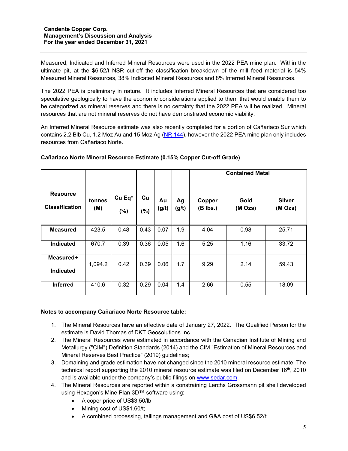Measured, Indicated and Inferred Mineral Resources were used in the 2022 PEA mine plan. Within the ultimate pit, at the \$6.52/t NSR cut-off the classification breakdown of the mill feed material is 54% Measured Mineral Resources, 38% Indicated Mineral Resources and 8% Inferred Mineral Resources.

The 2022 PEA is preliminary in nature. It includes Inferred Mineral Resources that are considered too speculative geologically to have the economic considerations applied to them that would enable them to be categorized as mineral reserves and there is no certainty that the 2022 PEA will be realized. Mineral resources that are not mineral reserves do not have demonstrated economic viability.

An Inferred Mineral Resource estimate was also recently completed for a portion of Cañariaco Sur which contains 2.2 Blb Cu, 1.2 Moz Au and 15 Moz Ag [\(NR 144\)](https://candentecopper.com/news-releases/news-releases/2022/candente-copper-announces-initial-inferred-resource-for-canariaco-sur-copper-gold-porphyry-updates-canariaco-norte-resource-peru/), however the 2022 PEA mine plan only includes resources from Cañariaco Norte.

|                                          |               |               |              |             |             | <b>Contained Metal</b> |                 |                          |  |
|------------------------------------------|---------------|---------------|--------------|-------------|-------------|------------------------|-----------------|--------------------------|--|
| <b>Resource</b><br><b>Classification</b> | tonnes<br>(M) | Cu Eq*<br>(%) | Cu<br>$(\%)$ | Au<br>(g/t) | Ag<br>(g/t) | Copper<br>$(B$ lbs.)   | Gold<br>(M Ozs) | <b>Silver</b><br>(M Ozs) |  |
| <b>Measured</b>                          | 423.5         | 0.48          | 0.43         | 0.07        | 1.9         | 4.04                   | 0.98            | 25.71                    |  |
| Indicated                                | 670.7         | 0.39          | 0.36         | 0.05        | 1.6         | 5.25                   | 1.16            | 33.72                    |  |
| Measured+<br><b>Indicated</b>            | 1,094.2       | 0.42          | 0.39         | 0.06        | 1.7         | 9.29                   | 2.14            | 59.43                    |  |
| <b>Inferred</b>                          | 410.6         | 0.32          | 0.29         | 0.04        | 1.4         | 2.66                   | 0.55            | 18.09                    |  |

## **Cañariaco Norte Mineral Resource Estimate (0.15% Copper Cut-off Grade)**

## **Notes to accompany Cañariaco Norte Resource table:**

- 1. The Mineral Resources have an effective date of January 27, 2022. The Qualified Person for the estimate is David Thomas of DKT Geosolutions Inc.
- 2. The Mineral Resources were estimated in accordance with the Canadian Institute of Mining and Metallurgy ("CIM") Definition Standards (2014) and the CIM "Estimation of Mineral Resources and Mineral Reserves Best Practice" (2019) guidelines;
- 3. Domaining and grade estimation have not changed since the 2010 mineral resource estimate. The technical report supporting the 2010 mineral resource estimate was filed on December  $16<sup>th</sup>$ , 2010 and is available under the company's public filings on [www.sedar.com.](http://www.sedar.com/)
- 4. The Mineral Resources are reported within a constraining Lerchs Grossmann pit shell developed using Hexagon's Mine Plan 3D™ software using:
	- A coper price of US\$3.50/lb
	- Mining cost of US\$1.60/t;
	- A combined processing, tailings management and G&A cost of US\$6.52/t;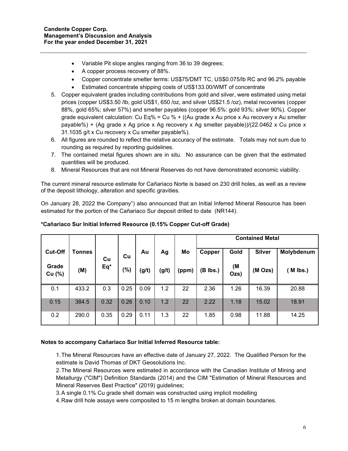- Variable Pit slope angles ranging from 36 to 39 degrees;
- A copper process recovery of 88%.
- Copper concentrate smelter terms: US\$75/DMT TC, US\$0.075/lb RC and 96.2% payable
- Estimated concentrate shipping costs of US\$133.00/WMT of concentrate
- 5. Copper equivalent grades including contributions from gold and silver, were estimated using metal prices (copper US\$3.50 /lb, gold US\$1, 650 /oz, and silver US\$21.5 /oz), metal recoveries (copper 88%, gold 65%; silver 57%) and smelter payables (copper 96.5%: gold 93%; silver 90%). Copper grade equivalent calculation: Cu Eq% = Cu % + ((Au grade x Au price x Au recovery x Au smelter payable%) + (Ag grade x Ag price x Ag recovery x Ag smelter payable))/(22.0462 x Cu price x 31.1035 g/t x Cu recovery x Cu smelter payable%).
- 6. All figures are rounded to reflect the relative accuracy of the estimate. Totals may not sum due to rounding as required by reporting guidelines.
- 7. The contained metal figures shown are in situ. No assurance can be given that the estimated quantities will be produced.
- 8. Mineral Resources that are not Mineral Reserves do not have demonstrated economic viability.

The current mineral resource estimate for Cañariaco Norte is based on 230 drill holes, as well as a review of the deposit lithology, alteration and specific gravities.

On January 28, 2022 the Company") also announced that an Initial Inferred Mineral Resource has been estimated for the portion of the Cañariaco Sur deposit drilled to date (NR144).

|                 |               |       |         |       |       |       | <b>Contained Metal</b> |            |               |            |  |  |
|-----------------|---------------|-------|---------|-------|-------|-------|------------------------|------------|---------------|------------|--|--|
| <b>Cut-Off</b>  | <b>Tonnes</b> | Cu    | Cu      | Au    | Ag    | Mo    | Copper                 | Gold       | <b>Silver</b> | Molybdenum |  |  |
| Grade<br>Cu (%) | (M)           | $Eq*$ | $(\% )$ | (g/t) | (g/t) | (ppm) | (B lbs.)               | (M<br>Ozs) | (M Ozs)       | $M$ lbs.)  |  |  |
| 0.1             | 433.2         | 0.3   | 0.25    | 0.09  | 1.2   | 22    | 2.36                   | 1.26       | 16.39         | 20.88      |  |  |
| 0.15            | 384.5         | 0.32  | 0.26    | 0.10  | 1.2   | 22    | 2.22                   | 1.18       | 15.02         | 18.91      |  |  |
| 0.2             | 290.0         | 0.35  | 0.29    | 0.11  | 1.3   | 22    | 1.85                   | 0.98       | 11.88         | 14.25      |  |  |

## **\*Cañariaco Sur Initial Inferred Resource (0.15% Copper Cut-off Grade)**

## **Notes to accompany Cañariaco Sur Initial Inferred Resource table:**

1.The Mineral Resources have an effective date of January 27, 2022. The Qualified Person for the estimate is David Thomas of DKT Geosolutions Inc.

2.The Mineral Resources were estimated in accordance with the Canadian Institute of Mining and Metallurgy ("CIM") Definition Standards (2014) and the CIM "Estimation of Mineral Resources and Mineral Reserves Best Practice" (2019) guidelines;

3.A single 0.1% Cu grade shell domain was constructed using implicit modelling

4.Raw drill hole assays were composited to 15 m lengths broken at domain boundaries.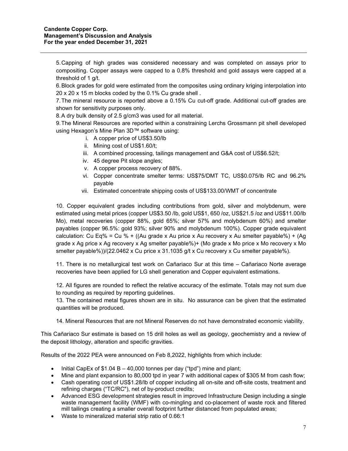5.Capping of high grades was considered necessary and was completed on assays prior to compositing. Copper assays were capped to a 0.8% threshold and gold assays were capped at a threshold of 1 g/t.

6.Block grades for gold were estimated from the composites using ordinary kriging interpolation into 20 x 20 x 15 m blocks coded by the 0.1% Cu grade shell .

7.The mineral resource is reported above a 0.15% Cu cut-off grade. Additional cut-off grades are shown for sensitivity purposes only.

8.A dry bulk density of 2.5 g/cm3 was used for all material.

9.The Mineral Resources are reported within a constraining Lerchs Grossmann pit shell developed using Hexagon's Mine Plan 3D™ software using:

- i. A copper price of US\$3.50/lb
- ii. Mining cost of US\$1.60/t;
- iii. A combined processing, tailings management and G&A cost of US\$6.52/t;
- iv. 45 degree Pit slope angles;
- v. A copper process recovery of 88%.
- vi. Copper concentrate smelter terms: US\$75/DMT TC, US\$0.075/lb RC and 96.2% payable
- vii. Estimated concentrate shipping costs of US\$133.00/WMT of concentrate

10. Copper equivalent grades including contributions from gold, silver and molybdenum, were estimated using metal prices (copper US\$3.50 /lb, gold US\$1, 650 /oz, US\$21.5 /oz and US\$11.00/lb Mo), metal recoveries (copper 88%, gold 65%; silver 57% and molybdenum 60%) and smelter payables (copper 96.5%: gold 93%; silver 90% and molybdenum 100%). Copper grade equivalent calculation: Cu Eq% = Cu % + ((Au grade x Au price x Au recovery x Au smelter payable%) + (Ag grade x Ag price x Ag recovery x Ag smelter payable%)+ (Mo grade x Mo price x Mo recovery x Mo smelter payable%))/(22.0462 x Cu price x 31.1035 g/t x Cu recovery x Cu smelter payable%).

11. There is no metallurgical test work on Cañariaco Sur at this time – Cañariaco Norte average recoveries have been applied for LG shell generation and Copper equivalent estimations.

12. All figures are rounded to reflect the relative accuracy of the estimate. Totals may not sum due to rounding as required by reporting guidelines.

13. The contained metal figures shown are in situ. No assurance can be given that the estimated quantities will be produced.

14. Mineral Resources that are not Mineral Reserves do not have demonstrated economic viability.

This Cañariaco Sur estimate is based on 15 drill holes as well as geology, geochemistry and a review of the deposit lithology, alteration and specific gravities.

Results of the 2022 PEA were announced on Feb 8,2022, highlights from which include:

- Initial CapEx of \$1.04 B 40,000 tonnes per day ("tpd") mine and plant;
- Mine and plant expansion to 80,000 tpd in year 7 with additional capex of \$305 M from cash flow;
- Cash operating cost of US\$1.28/lb of copper including all on-site and off-site costs, treatment and refining charges ("TC/RC"), net of by-product credits;
- Advanced ESG development strategies result in improved Infrastructure Design including a single waste management facility (WMF) with co-mingling and co-placement of waste rock and filtered mill tailings creating a smaller overall footprint further distanced from populated areas;
- Waste to mineralized material strip ratio of 0.66:1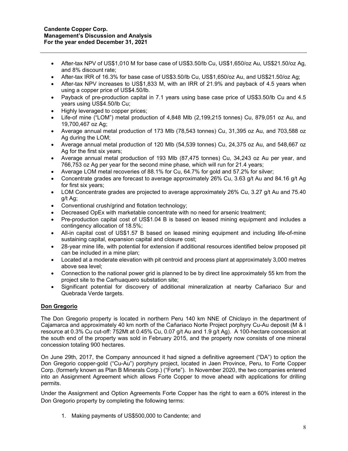- After-tax NPV of US\$1,010 M for base case of US\$3.50/lb Cu, US\$1,650/oz Au, US\$21.50/oz Ag, and 8% discount rate;
- After-tax IRR of 16.3% for base case of US\$3.50/lb Cu, US\$1,650/oz Au, and US\$21.50/oz Ag;
- After-tax NPV increases to US\$1,833 M, with an IRR of 21.9% and payback of 4.5 years when using a copper price of US\$4.50/lb.
- Payback of pre-production capital in 7.1 years using base case price of US\$3.50/lb Cu and 4.5 years using US\$4.50/lb Cu;
- Highly leveraged to copper prices;
- Life-of mine ("LOM") metal production of 4,848 Mlb (2,199,215 tonnes) Cu, 879,051 oz Au, and 19,700,467 oz Ag;
- Average annual metal production of 173 Mlb (78,543 tonnes) Cu, 31,395 oz Au, and 703,588 oz Ag during the LOM;
- Average annual metal production of 120 Mlb (54,539 tonnes) Cu, 24,375 oz Au, and 548,667 oz Ag for the first six years;
- Average annual metal production of 193 Mlb (87,475 tonnes) Cu, 34,243 oz Au per year, and 766,753 oz Ag per year for the second mine phase, which will run for 21.4 years;
- Average LOM metal recoveries of 88.1% for Cu, 64.7% for gold and 57.2% for silver;
- Concentrate grades are forecast to average approximately 26% Cu, 3.63 g/t Au and 84.16 g/t Ag for first six years;
- LOM Concentrate grades are projected to average approximately 26% Cu, 3.27 g/t Au and 75.40 g/t Ag;
- Conventional crush/grind and flotation technology;
- Decreased OpEx with marketable concentrate with no need for arsenic treatment;
- Pre-production capital cost of US\$1.04 B is based on leased mining equipment and includes a contingency allocation of 18.5%;
- All-in capital cost of US\$1.57 B based on leased mining equipment and including life-of-mine sustaining capital, expansion capital and closure cost;
- 28-year mine life, with potential for extension if additional resources identified below proposed pit can be included in a mine plan;
- Located at a moderate elevation with pit centroid and process plant at approximately 3,000 metres above sea level;
- Connection to the national power grid is planned to be by direct line approximately 55 km from the project site to the Carhuaquero substation site;
- Significant potential for discovery of additional mineralization at nearby Cañariaco Sur and Quebrada Verde targets.

## **Don Gregorio**

The Don Gregorio property is located in northern Peru 140 km NNE of Chiclayo in the department of Cajamarca and approximately 40 km north of the Cañariaco Norte Project porphyry Cu-Au deposit (M & I resource at 0.3% Cu cut-off: 752Mt at 0.45% Cu, 0.07 g/t Au and 1.9 g/t Ag). A 100-hectare concession at the south end of the property was sold in February 2015, and the property now consists of one mineral concession totaling 900 hectares.

On June 29th, 2017, the Company announced it had signed a definitive agreement ("DA") to option the Don Gregorio copper-gold ("Cu-Au") porphyry project, located in Jaen Province, Peru, to Forte Copper Corp. (formerly known as Plan B Minerals Corp.) ("Forte"). In November 2020, the two companies entered into an Assignment Agreement which allows Forte Copper to move ahead with applications for drilling permits.

Under the Assignment and Option Agreements Forte Copper has the right to earn a 60% interest in the Don Gregorio property by completing the following terms:

1. Making payments of US\$500,000 to Candente; and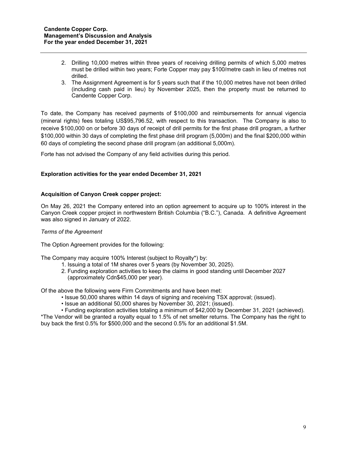- 2. Drilling 10,000 metres within three years of receiving drilling permits of which 5,000 metres must be drilled within two years; Forte Copper may pay \$100/metre cash in lieu of metres not drilled.
- 3. The Assignment Agreement is for 5 years such that if the 10,000 metres have not been drilled (including cash paid in lieu) by November 2025, then the property must be returned to Candente Copper Corp.

To date, the Company has received payments of \$100,000 and reimbursements for annual vigencia (mineral rights) fees totaling US\$95,796.52, with respect to this transaction. The Company is also to receive \$100,000 on or before 30 days of receipt of drill permits for the first phase drill program, a further \$100,000 within 30 days of completing the first phase drill program (5,000m) and the final \$200,000 within 60 days of completing the second phase drill program (an additional 5,000m).

Forte has not advised the Company of any field activities during this period.

## **Exploration activities for the year ended December 31, 2021**

## **Acquisition of Canyon Creek copper project:**

On May 26, 2021 the Company entered into an option agreement to acquire up to 100% interest in the Canyon Creek copper project in northwestern British Columbia ("B.C."), Canada. A definitive Agreement was also signed in January of 2022.

#### *Terms of the Agreement*

The Option Agreement provides for the following:

The Company may acquire 100% Interest (subject to Royalty\*) by:

- 1. Issuing a total of 1M shares over 5 years (by November 30, 2025).
- 2. Funding exploration activities to keep the claims in good standing until December 2027 (approximately Cdn\$45,000 per year).

Of the above the following were Firm Commitments and have been met:

- Issue 50,000 shares within 14 days of signing and receiving TSX approval; (issued).
- Issue an additional 50,000 shares by November 30, 2021; (issued).

• Funding exploration activities totaling a minimum of \$42,000 by December 31, 2021 (achieved). \*The Vendor will be granted a royalty equal to 1.5% of net smelter returns. The Company has the right to buy back the first 0.5% for \$500,000 and the second 0.5% for an additional \$1.5M.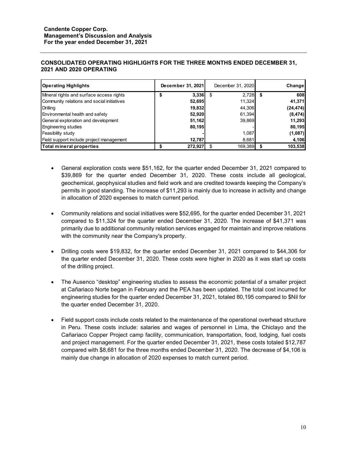### **CONSOLIDATED OPERATING HIGHLIGHTS FOR THE THREE MONTHS ENDED DECEMBER 31, 2021 AND 2020 OPERATING**

| <b>Operating Highlights</b>                | December 31, 2021 | December 31, 2020 | Change    |
|--------------------------------------------|-------------------|-------------------|-----------|
| Mineral rights and surface access rights   | 3,336             | 2,728<br>- \$     | 608       |
| Community relations and social initiatives | 52,695            | 11,324            | 41,371    |
| Drilling                                   | 19,832            | 44.306            | (24, 474) |
| Environmental health and safety            | 52,920            | 61,394            | (8, 474)  |
| General exploration and development        | 51,162            | 39,869            | 11,293    |
| <b>Engineering studies</b>                 | 80,195            |                   | 80,195    |
| Feasibility study                          |                   | 1,087             | (1,087)   |
| Field support include project management   | 12,787            | 8,681             | 4,106     |
| Total mineral properties                   | 272,927           | 169,389           | 103,538   |

- General exploration costs were \$51,162, for the quarter ended December 31, 2021 compared to \$39,869 for the quarter ended December 31, 2020. These costs include all geological, geochemical, geophysical studies and field work and are credited towards keeping the Company's permits in good standing. The increase of \$11,293 is mainly due to increase in activity and change in allocation of 2020 expenses to match current period.
- Community relations and social initiatives were \$52,695, for the quarter ended December 31, 2021 compared to \$11,324 for the quarter ended December 31, 2020. The increase of \$41,371 was primarily due to additional community relation services engaged for maintain and improve relations with the community near the Company's property.
- Drilling costs were \$19,832, for the quarter ended December 31, 2021 compared to \$44,306 for the quarter ended December 31, 2020. These costs were higher in 2020 as it was start up costs of the drilling project.
- The Ausenco "desktop" engineering studies to assess the economic potential of a smaller project at Cañariaco Norte began in February and the PEA has been updated. The total cost incurred for engineering studies for the quarter ended December 31, 2021, totaled 80,195 compared to \$Nil for the quarter ended December 31, 2020.
- Field support costs include costs related to the maintenance of the operational overhead structure in Peru. These costs include: salaries and wages of personnel in Lima, the Chiclayo and the Cañariaco Copper Project camp facility, communication, transportation, food, lodging, fuel costs and project management. For the quarter ended December 31, 2021, these costs totaled \$12,787 compared with \$8,681 for the three months ended December 31, 2020. The decrease of \$4,106 is mainly due change in allocation of 2020 expenses to match current period.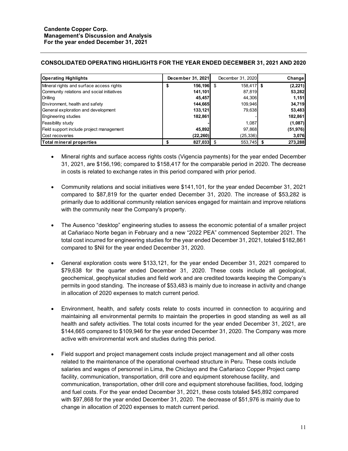## **CONSOLIDATED OPERATING HIGHLIGHTS FOR THE YEAR ENDED DECEMBER 31, 2021 AND 2020**

| <b>Operating Highlights</b>                | December 31, 2021 | December 31, 2020 | Change    |
|--------------------------------------------|-------------------|-------------------|-----------|
| Mineral rights and surface access rights   | 156,196           | 158.417 \$<br>S   | (2, 221)  |
| Community relations and social initiatives | 141,101           | 87,819            | 53,282    |
| Drilling                                   | 45,457            | 44,306            | 1,151     |
| Environment, health and safety             | 144,665           | 109,946           | 34,719    |
| General exploration and development        | 133,121           | 79.638            | 53,483    |
| <b>Engineering studies</b>                 | 182,861           |                   | 182,861   |
| Feasibility study                          |                   | 1,087             | (1,087)   |
| Field support include project management   | 45,892            | 97,868            | (51, 976) |
| Cost recoveries                            | (22, 260)         | (25, 336)         | 3,076     |
| Total mineral properties                   | 827,033           | 553,745 \$        | 273,288   |

- Mineral rights and surface access rights costs (Vigencia payments) for the year ended December 31, 2021, are \$156,196; compared to \$158,417 for the comparable period in 2020. The decrease in costs is related to exchange rates in this period compared with prior period.
- Community relations and social initiatives were \$141,101, for the year ended December 31, 2021 compared to \$87,819 for the quarter ended December 31, 2020. The increase of \$53,282 is primarily due to additional community relation services engaged for maintain and improve relations with the community near the Company's property.
- The Ausenco "desktop" engineering studies to assess the economic potential of a smaller project at Cañariaco Norte began in February and a new "2022 PEA" commenced September 2021. The total cost incurred for engineering studies for the year ended December 31, 2021, totaled \$182,861 compared to \$Nil for the year ended December 31, 2020.
- General exploration costs were \$133,121, for the year ended December 31, 2021 compared to \$79,638 for the quarter ended December 31, 2020. These costs include all geological, geochemical, geophysical studies and field work and are credited towards keeping the Company's permits in good standing. The increase of \$53,483 is mainly due to increase in activity and change in allocation of 2020 expenses to match current period.
- Environment, health, and safety costs relate to costs incurred in connection to acquiring and maintaining all environmental permits to maintain the properties in good standing as well as all health and safety activities. The total costs incurred for the year ended December 31, 2021, are \$144,665 compared to \$109,946 for the year ended December 31, 2020. The Company was more active with environmental work and studies during this period.
- Field support and project management costs include project management and all other costs related to the maintenance of the operational overhead structure in Peru. These costs include salaries and wages of personnel in Lima, the Chiclayo and the Cañariaco Copper Project camp facility, communication, transportation, drill core and equipment storehouse facility, and communication, transportation, other drill core and equipment storehouse facilities, food, lodging and fuel costs. For the year ended December 31, 2021, these costs totaled \$45,892 compared with \$97,868 for the year ended December 31, 2020. The decrease of \$51,976 is mainly due to change in allocation of 2020 expenses to match current period.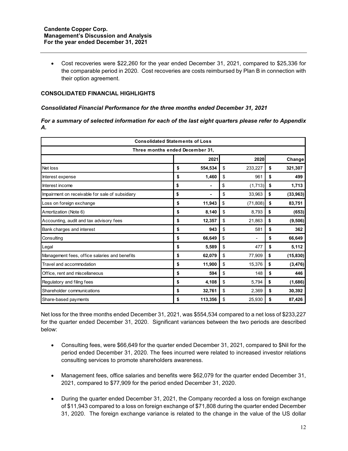• Cost recoveries were \$22,260 for the year ended December 31, 2021, compared to \$25,336 for the comparable period in 2020. Cost recoveries are costs reimbursed by Plan B in connection with their option agreement.

## **CONSOLIDATED FINANCIAL HIGHLIGHTS**

#### *Consolidated Financial Performance for the three months ended December 31, 2021*

#### *For a summary of selected information for each of the last eight quarters please refer to Appendix A.*

| <b>Consolidated Statements of Loss</b>          |    |              |    |           |    |           |  |  |  |
|-------------------------------------------------|----|--------------|----|-----------|----|-----------|--|--|--|
| Three months ended December 31.                 |    |              |    |           |    |           |  |  |  |
|                                                 |    | 2021<br>2020 |    |           |    | Change    |  |  |  |
| Net loss                                        | \$ | 554,534      | \$ | 233,227   | \$ | 321,307   |  |  |  |
| Interest expense                                | \$ | 1,460        | \$ | 961       | \$ | 499       |  |  |  |
| Interest income                                 | \$ |              | \$ | (1,713)   | \$ | 1,713     |  |  |  |
| Impairment on receivable for sale of subsidiary | \$ | ۰            | \$ | 33,963    | \$ | (33,963)  |  |  |  |
| Loss on foreign exchange                        | \$ | 11,943       | \$ | (71, 808) | \$ | 83,751    |  |  |  |
| Amortization (Note 6)                           | \$ | 8,140        | \$ | 8,793     | \$ | (653)     |  |  |  |
| Accounting, audit and tax advisory fees         | \$ | 12,357       | \$ | 21,863    | \$ | (9, 506)  |  |  |  |
| Bank charges and interest                       | \$ | 943          | \$ | 581       | \$ | 362       |  |  |  |
| Consulting                                      | \$ | 66,649       | \$ |           | \$ | 66,649    |  |  |  |
| Legal                                           | \$ | 5,589        | \$ | 477       | \$ | 5,112     |  |  |  |
| Management fees, office salaries and benefits   | \$ | 62,079       | \$ | 77,909    | \$ | (15, 830) |  |  |  |
| Travel and accommodation                        | \$ | 11,900       | \$ | 15,376    | \$ | (3, 476)  |  |  |  |
| Office, rent and miscellaneous                  | \$ | 594          | \$ | 148       | \$ | 446       |  |  |  |
| Regulatory and filing fees                      | \$ | 4,108        | \$ | 5,794     | \$ | (1,686)   |  |  |  |
| Shareholder communications                      | \$ | 32,761       | \$ | 2,369     | \$ | 30,392    |  |  |  |
| Share-based payments                            | \$ | 113,356      | \$ | 25,930    | \$ | 87,426    |  |  |  |

Net loss for the three months ended December 31, 2021, was \$554,534 compared to a net loss of \$233,227 for the quarter ended December 31, 2020. Significant variances between the two periods are described below:

- Consulting fees, were \$66,649 for the quarter ended December 31, 2021, compared to \$Nil for the period ended December 31, 2020. The fees incurred were related to increased investor relations consulting services to promote shareholders awareness.
- Management fees, office salaries and benefits were \$62,079 for the quarter ended December 31, 2021, compared to \$77,909 for the period ended December 31, 2020.
- During the quarter ended December 31, 2021, the Company recorded a loss on foreign exchange of \$11,943 compared to a loss on foreign exchange of \$71,808 during the quarter ended December 31, 2020. The foreign exchange variance is related to the change in the value of the US dollar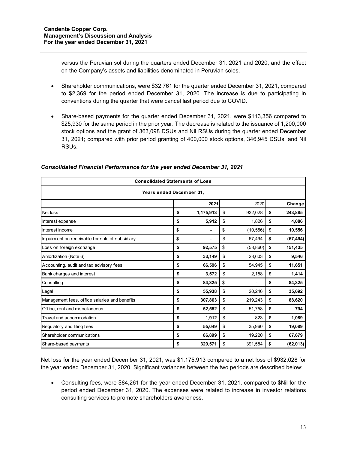versus the Peruvian sol during the quarters ended December 31, 2021 and 2020, and the effect on the Company's assets and liabilities denominated in Peruvian soles.

- Shareholder communications, were \$32,761 for the quarter ended December 31, 2021, compared to \$2,369 for the period ended December 31, 2020. The increase is due to participating in conventions during the quarter that were cancel last period due to COVID.
- Share-based payments for the quarter ended December 31, 2021, were \$113,356 compared to \$25,930 for the same period in the prior year. The decrease is related to the issuance of 1,200,000 stock options and the grant of 363,098 DSUs and Nil RSUs during the quarter ended December 31, 2021; compared with prior period granting of 400,000 stock options, 346,945 DSUs, and Nil RSUs.

| <b>Consolidated Statements of Loss</b>          |    |           |    |           |    |           |  |  |  |  |
|-------------------------------------------------|----|-----------|----|-----------|----|-----------|--|--|--|--|
| Years ended December 31,                        |    |           |    |           |    |           |  |  |  |  |
|                                                 |    | 2021      |    | 2020      |    | Change    |  |  |  |  |
| Net loss                                        | \$ | 1,175,913 | \$ | 932,028   | \$ | 243,885   |  |  |  |  |
| Interest expense                                | \$ | 5,912     | \$ | 1,826     | \$ | 4,086     |  |  |  |  |
| Interest income                                 | \$ |           | \$ | (10, 556) | \$ | 10,556    |  |  |  |  |
| Impairment on receivable for sale of subsidiary | \$ | ۰         | \$ | 67,494    | \$ | (67, 494) |  |  |  |  |
| Loss on foreign exchange                        | \$ | 92,575    | \$ | (58, 860) | \$ | 151,435   |  |  |  |  |
| Amortization (Note 6)                           | \$ | 33,149    | \$ | 23,603    | \$ | 9,546     |  |  |  |  |
| Accounting, audit and tax advisory fees         | \$ | 66,596    | \$ | 54,945    | \$ | 11,651    |  |  |  |  |
| Bank charges and interest                       | \$ | 3,572     | \$ | 2,158     | \$ | 1,414     |  |  |  |  |
| Consulting                                      | \$ | 84,325    | \$ |           | \$ | 84,325    |  |  |  |  |
| Legal                                           | \$ | 55,938    | \$ | 20,246    | \$ | 35,692    |  |  |  |  |
| Management fees, office salaries and benefits   | \$ | 307,863   | \$ | 219,243   | \$ | 88,620    |  |  |  |  |
| Office, rent and miscellaneous                  | \$ | 52,552    | \$ | 51,758    | \$ | 794       |  |  |  |  |
| Travel and accommodation                        | \$ | 1,912     | \$ | 823       | \$ | 1,089     |  |  |  |  |
| Regulatory and filing fees                      | \$ | 55,049    | \$ | 35,960    | \$ | 19,089    |  |  |  |  |
| Shareholder communications                      | \$ | 86,899    | \$ | 19,220    | \$ | 67,679    |  |  |  |  |
| Share-based payments                            | \$ | 329,571   | \$ | 391,584   | \$ | (62, 013) |  |  |  |  |

## *Consolidated Financial Performance for the year ended December 31, 2021*

Net loss for the year ended December 31, 2021, was \$1,175,913 compared to a net loss of \$932,028 for the year ended December 31, 2020. Significant variances between the two periods are described below:

• Consulting fees, were \$84,261 for the year ended December 31, 2021, compared to \$Nil for the period ended December 31, 2020. The expenses were related to increase in investor relations consulting services to promote shareholders awareness.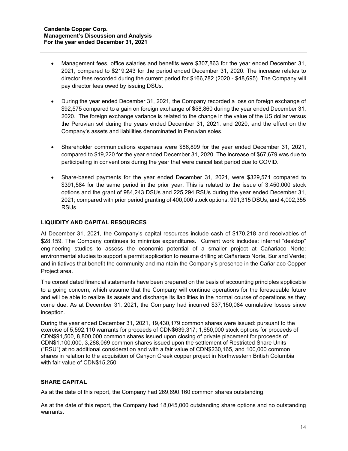- Management fees, office salaries and benefits were \$307,863 for the year ended December 31, 2021, compared to \$219,243 for the period ended December 31, 2020. The increase relates to director fees recorded during the current period for \$166,782 (2020 - \$48,695). The Company will pay director fees owed by issuing DSUs.
- During the year ended December 31, 2021, the Company recorded a loss on foreign exchange of \$92,575 compared to a gain on foreign exchange of \$58,860 during the year ended December 31, 2020. The foreign exchange variance is related to the change in the value of the US dollar versus the Peruvian sol during the years ended December 31, 2021, and 2020, and the effect on the Company's assets and liabilities denominated in Peruvian soles.
- Shareholder communications expenses were \$86,899 for the year ended December 31, 2021, compared to \$19,220 for the year ended December 31, 2020. The increase of \$67,679 was due to participating in conventions during the year that were cancel last period due to COVID.
- Share-based payments for the year ended December 31, 2021, were \$329,571 compared to \$391,584 for the same period in the prior year. This is related to the issue of 3,450,000 stock options and the grant of 984,243 DSUs and 225,294 RSUs during the year ended December 31, 2021; compared with prior period granting of 400,000 stock options, 991,315 DSUs, and 4,002,355 RSUs.

# **LIQUIDITY AND CAPITAL RESOURCES**

At December 31, 2021, the Company's capital resources include cash of \$170,218 and receivables of \$28,159. The Company continues to minimize expenditures. Current work includes: internal "desktop" engineering studies to assess the economic potential of a smaller project at Cañariaco Norte; environmental studies to support a permit application to resume drilling at Cañariaco Norte, Sur and Verde; and initiatives that benefit the community and maintain the Company's presence in the Cañariaco Copper Project area.

The consolidated financial statements have been prepared on the basis of accounting principles applicable to a going concern, which assume that the Company will continue operations for the foreseeable future and will be able to realize its assets and discharge its liabilities in the normal course of operations as they come due. As at December 31, 2021, the Company had incurred \$37,150,084 cumulative losses since inception.

During the year ended December 31, 2021, 19,430,179 common shares were issued: pursuant to the exercise of 5,592,110 warrants for proceeds of CDN\$639,317; 1,650,000 stock options for proceeds of CDN\$91,500, 8,800,000 common shares issued upon closing of private placement for proceeds of CDN\$1,100,000, 3,288,069 common shares issued upon the settlement of Restricted Share Units ("RSU") at no additional consideration and with a fair value of CDN\$230,165, and 100,000 common shares in relation to the acquisition of Canyon Creek copper project in Northwestern British Columbia with fair value of CDN\$15,250

## **SHARE CAPITAL**

As at the date of this report, the Company had 269,690,160 common shares outstanding.

As at the date of this report, the Company had 18,045,000 outstanding share options and no outstanding warrants.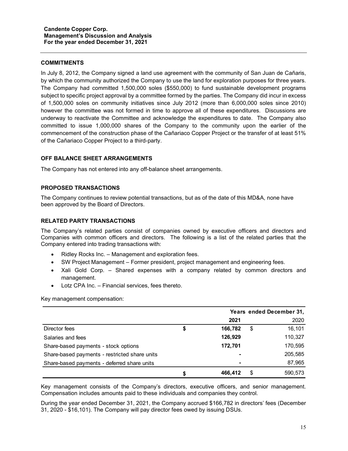#### **COMMITMENTS**

In July 8, 2012, the Company signed a land use agreement with the community of San Juan de Cañaris, by which the community authorized the Company to use the land for exploration purposes for three years. The Company had committed 1,500,000 soles (\$550,000) to fund sustainable development programs subject to specific project approval by a committee formed by the parties. The Company did incur in excess of 1,500,000 soles on community initiatives since July 2012 (more than 6,000,000 soles since 2010) however the committee was not formed in time to approve all of these expenditures. Discussions are underway to reactivate the Committee and acknowledge the expenditures to date. The Company also committed to issue 1,000,000 shares of the Company to the community upon the earlier of the commencement of the construction phase of the Cañariaco Copper Project or the transfer of at least 51% of the Cañariaco Copper Project to a third-party.

## **OFF BALANCE SHEET ARRANGEMENTS**

The Company has not entered into any off-balance sheet arrangements.

## **PROPOSED TRANSACTIONS**

The Company continues to review potential transactions, but as of the date of this MD&A, none have been approved by the Board of Directors.

## **RELATED PARTY TRANSACTIONS**

The Company's related parties consist of companies owned by executive officers and directors and Companies with common officers and directors. The following is a list of the related parties that the Company entered into trading transactions with:

- Ridley Rocks Inc. Management and exploration fees.
- SW Project Management Former president, project management and engineering fees.
- Xali Gold Corp. Shared expenses with a company related by common directors and management.
- Lotz CPA Inc. Financial services, fees thereto.

Key management compensation:

|                                               | Years ended December 31, |    |         |  |  |  |
|-----------------------------------------------|--------------------------|----|---------|--|--|--|
|                                               | 2021                     |    | 2020    |  |  |  |
| Director fees                                 | \$<br>166.782            | \$ | 16,101  |  |  |  |
| Salaries and fees                             | 126,929                  |    | 110,327 |  |  |  |
| Share-based payments - stock options          | 172,701                  |    | 170,595 |  |  |  |
| Share-based payments - restricted share units |                          |    | 205,585 |  |  |  |
| Share-based payments - deferred share units   |                          |    | 87,965  |  |  |  |
|                                               | \$<br>466,412            | S  | 590,573 |  |  |  |

Key management consists of the Company's directors, executive officers, and senior management. Compensation includes amounts paid to these individuals and companies they control.

During the year ended December 31, 2021, the Company accrued \$166,782 in directors' fees (December 31, 2020 - \$16,101). The Company will pay director fees owed by issuing DSUs.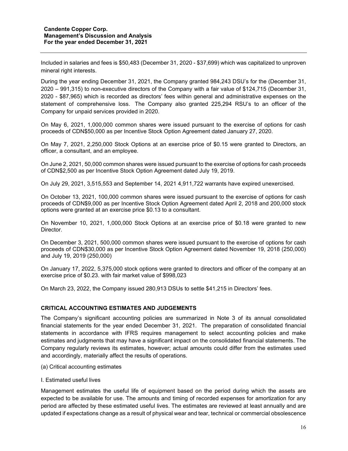Included in salaries and fees is \$50,483 (December 31, 2020 - \$37,699) which was capitalized to unproven mineral right interests.

During the year ending December 31, 2021, the Company granted 984,243 DSU's for the (December 31, 2020 – 991,315) to non-executive directors of the Company with a fair value of \$124,715 (December 31, 2020 - \$87,965) which is recorded as directors' fees within general and administrative expenses on the statement of comprehensive loss. The Company also granted 225,294 RSU's to an officer of the Company for unpaid services provided in 2020.

On May 6, 2021, 1,000,000 common shares were issued pursuant to the exercise of options for cash proceeds of CDN\$50,000 as per Incentive Stock Option Agreement dated January 27, 2020.

On May 7, 2021, 2,250,000 Stock Options at an exercise price of \$0.15 were granted to Directors, an officer, a consultant, and an employee.

On June 2, 2021, 50,000 common shares were issued pursuant to the exercise of options for cash proceeds of CDN\$2,500 as per Incentive Stock Option Agreement dated July 19, 2019.

On July 29, 2021, 3,515,553 and September 14, 2021 4,911,722 warrants have expired unexercised.

On October 13, 2021, 100,000 common shares were issued pursuant to the exercise of options for cash proceeds of CDN\$9,000 as per Incentive Stock Option Agreement dated April 2, 2018 and 200,000 stock options were granted at an exercise price \$0.13 to a consultant.

On November 10, 2021, 1,000,000 Stock Options at an exercise price of \$0.18 were granted to new Director.

On December 3, 2021, 500,000 common shares were issued pursuant to the exercise of options for cash proceeds of CDN\$30,000 as per Incentive Stock Option Agreement dated November 19, 2018 (250,000) and July 19, 2019 (250,000)

On January 17, 2022, 5,375,000 stock options were granted to directors and officer of the company at an exercise price of \$0.23. with fair market value of \$998,023

On March 23, 2022, the Company issued 280,913 DSUs to settle \$41,215 in Directors' fees.

## **CRITICAL ACCOUNTING ESTIMATES AND JUDGEMENTS**

The Company's significant accounting policies are summarized in Note 3 of its annual consolidated financial statements for the year ended December 31, 2021. The preparation of consolidated financial statements in accordance with IFRS requires management to select accounting policies and make estimates and judgments that may have a significant impact on the consolidated financial statements. The Company regularly reviews its estimates, however; actual amounts could differ from the estimates used and accordingly, materially affect the results of operations.

- (a) Critical accounting estimates
- I. Estimated useful lives

Management estimates the useful life of equipment based on the period during which the assets are expected to be available for use. The amounts and timing of recorded expenses for amortization for any period are affected by these estimated useful lives. The estimates are reviewed at least annually and are updated if expectations change as a result of physical wear and tear, technical or commercial obsolescence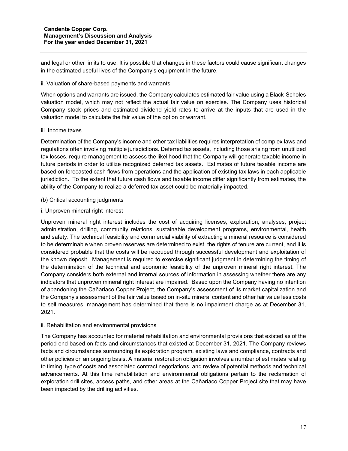and legal or other limits to use. It is possible that changes in these factors could cause significant changes in the estimated useful lives of the Company's equipment in the future.

#### ii. Valuation of share-based payments and warrants

When options and warrants are issued, the Company calculates estimated fair value using a Black-Scholes valuation model, which may not reflect the actual fair value on exercise. The Company uses historical Company stock prices and estimated dividend yield rates to arrive at the inputs that are used in the valuation model to calculate the fair value of the option or warrant.

## iii. Income taxes

Determination of the Company's income and other tax liabilities requires interpretation of complex laws and regulations often involving multiple jurisdictions. Deferred tax assets, including those arising from unutilized tax losses, require management to assess the likelihood that the Company will generate taxable income in future periods in order to utilize recognized deferred tax assets. Estimates of future taxable income are based on forecasted cash flows from operations and the application of existing tax laws in each applicable jurisdiction. To the extent that future cash flows and taxable income differ significantly from estimates, the ability of the Company to realize a deferred tax asset could be materially impacted.

- (b) Critical accounting judgments
- i. Unproven mineral right interest

Unproven mineral right interest includes the cost of acquiring licenses, exploration, analyses, project administration, drilling, community relations, sustainable development programs, environmental, health and safety. The technical feasibility and commercial viability of extracting a mineral resource is considered to be determinable when proven reserves are determined to exist, the rights of tenure are current, and it is considered probable that the costs will be recouped through successful development and exploitation of the known deposit. Management is required to exercise significant judgment in determining the timing of the determination of the technical and economic feasibility of the unproven mineral right interest. The Company considers both external and internal sources of information in assessing whether there are any indicators that unproven mineral right interest are impaired. Based upon the Company having no intention of abandoning the Cañariaco Copper Project, the Company's assessment of its market capitalization and the Company's assessment of the fair value based on in-situ mineral content and other fair value less costs to sell measures, management has determined that there is no impairment charge as at December 31, 2021.

## ii. Rehabilitation and environmental provisions

The Company has accounted for material rehabilitation and environmental provisions that existed as of the period end based on facts and circumstances that existed at December 31, 2021. The Company reviews facts and circumstances surrounding its exploration program, existing laws and compliance, contracts and other policies on an ongoing basis. A material restoration obligation involves a number of estimates relating to timing, type of costs and associated contract negotiations, and review of potential methods and technical advancements. At this time rehabilitation and environmental obligations pertain to the reclamation of exploration drill sites, access paths, and other areas at the Cañariaco Copper Project site that may have been impacted by the drilling activities.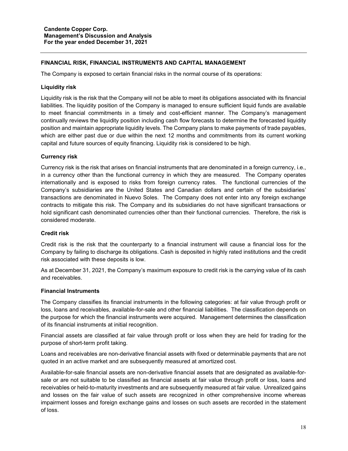## **FINANCIAL RISK, FINANCIAL INSTRUMENTS AND CAPITAL MANAGEMENT**

The Company is exposed to certain financial risks in the normal course of its operations:

## **Liquidity risk**

Liquidity risk is the risk that the Company will not be able to meet its obligations associated with its financial liabilities. The liquidity position of the Company is managed to ensure sufficient liquid funds are available to meet financial commitments in a timely and cost-efficient manner. The Company's management continually reviews the liquidity position including cash flow forecasts to determine the forecasted liquidity position and maintain appropriate liquidity levels. The Company plans to make payments of trade payables, which are either past due or due within the next 12 months and commitments from its current working capital and future sources of equity financing. Liquidity risk is considered to be high.

## **Currency risk**

Currency risk is the risk that arises on financial instruments that are denominated in a foreign currency, i.e., in a currency other than the functional currency in which they are measured. The Company operates internationally and is exposed to risks from foreign currency rates. The functional currencies of the Company's subsidiaries are the United States and Canadian dollars and certain of the subsidiaries' transactions are denominated in Nuevo Soles. The Company does not enter into any foreign exchange contracts to mitigate this risk. The Company and its subsidiaries do not have significant transactions or hold significant cash denominated currencies other than their functional currencies. Therefore, the risk is considered moderate.

#### **Credit risk**

Credit risk is the risk that the counterparty to a financial instrument will cause a financial loss for the Company by failing to discharge its obligations. Cash is deposited in highly rated institutions and the credit risk associated with these deposits is low.

As at December 31, 2021, the Company's maximum exposure to credit risk is the carrying value of its cash and receivables.

### **Financial Instruments**

The Company classifies its financial instruments in the following categories: at fair value through profit or loss, loans and receivables, available-for-sale and other financial liabilities. The classification depends on the purpose for which the financial instruments were acquired. Management determines the classification of its financial instruments at initial recognition.

Financial assets are classified at fair value through profit or loss when they are held for trading for the purpose of short-term profit taking.

Loans and receivables are non-derivative financial assets with fixed or determinable payments that are not quoted in an active market and are subsequently measured at amortized cost.

Available-for-sale financial assets are non-derivative financial assets that are designated as available-forsale or are not suitable to be classified as financial assets at fair value through profit or loss, loans and receivables or held-to-maturity investments and are subsequently measured at fair value. Unrealized gains and losses on the fair value of such assets are recognized in other comprehensive income whereas impairment losses and foreign exchange gains and losses on such assets are recorded in the statement of loss.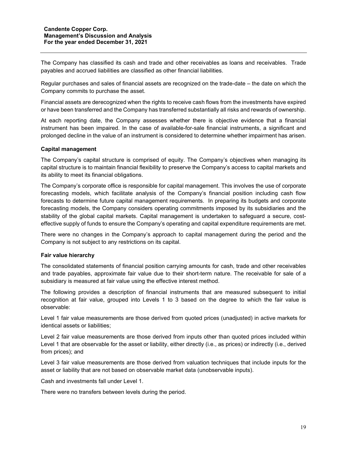The Company has classified its cash and trade and other receivables as loans and receivables. Trade payables and accrued liabilities are classified as other financial liabilities.

Regular purchases and sales of financial assets are recognized on the trade-date – the date on which the Company commits to purchase the asset.

Financial assets are derecognized when the rights to receive cash flows from the investments have expired or have been transferred and the Company has transferred substantially all risks and rewards of ownership.

At each reporting date, the Company assesses whether there is objective evidence that a financial instrument has been impaired. In the case of available-for-sale financial instruments, a significant and prolonged decline in the value of an instrument is considered to determine whether impairment has arisen.

#### **Capital management**

The Company's capital structure is comprised of equity. The Company's objectives when managing its capital structure is to maintain financial flexibility to preserve the Company's access to capital markets and its ability to meet its financial obligations.

The Company's corporate office is responsible for capital management. This involves the use of corporate forecasting models, which facilitate analysis of the Company's financial position including cash flow forecasts to determine future capital management requirements. In preparing its budgets and corporate forecasting models, the Company considers operating commitments imposed by its subsidiaries and the stability of the global capital markets. Capital management is undertaken to safeguard a secure, costeffective supply of funds to ensure the Company's operating and capital expenditure requirements are met.

There were no changes in the Company's approach to capital management during the period and the Company is not subject to any restrictions on its capital.

#### **Fair value hierarchy**

The consolidated statements of financial position carrying amounts for cash, trade and other receivables and trade payables, approximate fair value due to their short-term nature. The receivable for sale of a subsidiary is measured at fair value using the effective interest method.

The following provides a description of financial instruments that are measured subsequent to initial recognition at fair value, grouped into Levels 1 to 3 based on the degree to which the fair value is observable:

Level 1 fair value measurements are those derived from quoted prices (unadjusted) in active markets for identical assets or liabilities;

Level 2 fair value measurements are those derived from inputs other than quoted prices included within Level 1 that are observable for the asset or liability, either directly (i.e., as prices) or indirectly (i.e., derived from prices); and

Level 3 fair value measurements are those derived from valuation techniques that include inputs for the asset or liability that are not based on observable market data (unobservable inputs).

Cash and investments fall under Level 1.

There were no transfers between levels during the period.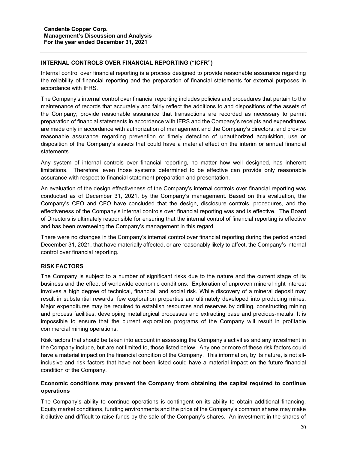# **INTERNAL CONTROLS OVER FINANCIAL REPORTING ("ICFR")**

Internal control over financial reporting is a process designed to provide reasonable assurance regarding the reliability of financial reporting and the preparation of financial statements for external purposes in accordance with IFRS.

The Company's internal control over financial reporting includes policies and procedures that pertain to the maintenance of records that accurately and fairly reflect the additions to and dispositions of the assets of the Company; provide reasonable assurance that transactions are recorded as necessary to permit preparation of financial statements in accordance with IFRS and the Company's receipts and expenditures are made only in accordance with authorization of management and the Company's directors; and provide reasonable assurance regarding prevention or timely detection of unauthorized acquisition, use or disposition of the Company's assets that could have a material effect on the interim or annual financial statements.

Any system of internal controls over financial reporting, no matter how well designed, has inherent limitations. Therefore, even those systems determined to be effective can provide only reasonable assurance with respect to financial statement preparation and presentation.

An evaluation of the design effectiveness of the Company's internal controls over financial reporting was conducted as of December 31, 2021, by the Company's management. Based on this evaluation, the Company's CEO and CFO have concluded that the design, disclosure controls, procedures, and the effectiveness of the Company's internal controls over financial reporting was and is effective. The Board of Directors is ultimately responsible for ensuring that the internal control of financial reporting is effective and has been overseeing the Company's management in this regard.

There were no changes in the Company's internal control over financial reporting during the period ended December 31, 2021, that have materially affected, or are reasonably likely to affect, the Company's internal control over financial reporting.

# **RISK FACTORS**

The Company is subject to a number of significant risks due to the nature and the current stage of its business and the effect of worldwide economic conditions. Exploration of unproven mineral right interest involves a high degree of technical, financial, and social risk. While discovery of a mineral deposit may result in substantial rewards, few exploration properties are ultimately developed into producing mines. Major expenditures may be required to establish resources and reserves by drilling, constructing mining and process facilities, developing metallurgical processes and extracting base and precious-metals. It is impossible to ensure that the current exploration programs of the Company will result in profitable commercial mining operations.

Risk factors that should be taken into account in assessing the Company's activities and any investment in the Company include, but are not limited to, those listed below. Any one or more of these risk factors could have a material impact on the financial condition of the Company. This information, by its nature, is not allinclusive and risk factors that have not been listed could have a material impact on the future financial condition of the Company.

# **Economic conditions may prevent the Company from obtaining the capital required to continue operations**

The Company's ability to continue operations is contingent on its ability to obtain additional financing. Equity market conditions, funding environments and the price of the Company's common shares may make it dilutive and difficult to raise funds by the sale of the Company's shares. An investment in the shares of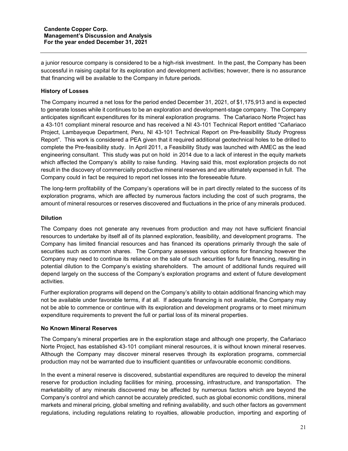a junior resource company is considered to be a high-risk investment. In the past, the Company has been successful in raising capital for its exploration and development activities; however, there is no assurance that financing will be available to the Company in future periods.

# **History of Losses**

The Company incurred a net loss for the period ended December 31, 2021, of \$1,175,913 and is expected to generate losses while it continues to be an exploration and development-stage company. The Company anticipates significant expenditures for its mineral exploration programs. The Cañariaco Norte Project has a 43-101 compliant mineral resource and has received a NI 43-101 Technical Report entitled "Cañariaco Project, Lambayeque Department, Peru, NI 43-101 Technical Report on Pre-feasibility Study Progress Report". This work is considered a PEA given that it required additional geotechnical holes to be drilled to complete the Pre-feasibility study. In April 2011, a Feasibility Study was launched with AMEC as the lead engineering consultant. This study was put on hold in 2014 due to a lack of interest in the equity markets which affected the Company's ability to raise funding. Having said this, most exploration projects do not result in the discovery of commercially productive mineral reserves and are ultimately expensed in full. The Company could in fact be required to report net losses into the foreseeable future.

The long-term profitability of the Company's operations will be in part directly related to the success of its exploration programs, which are affected by numerous factors including the cost of such programs, the amount of mineral resources or reserves discovered and fluctuations in the price of any minerals produced.

## **Dilution**

The Company does not generate any revenues from production and may not have sufficient financial resources to undertake by itself all of its planned exploration, feasibility, and development programs. The Company has limited financial resources and has financed its operations primarily through the sale of securities such as common shares. The Company assesses various options for financing however the Company may need to continue its reliance on the sale of such securities for future financing, resulting in potential dilution to the Company's existing shareholders. The amount of additional funds required will depend largely on the success of the Company's exploration programs and extent of future development activities.

Further exploration programs will depend on the Company's ability to obtain additional financing which may not be available under favorable terms, if at all. If adequate financing is not available, the Company may not be able to commence or continue with its exploration and development programs or to meet minimum expenditure requirements to prevent the full or partial loss of its mineral properties.

## **No Known Mineral Reserves**

The Company's mineral properties are in the exploration stage and although one property, the Cañariaco Norte Project, has established 43-101 compliant mineral resources, it is without known mineral reserves. Although the Company may discover mineral reserves through its exploration programs, commercial production may not be warranted due to insufficient quantities or unfavourable economic conditions.

In the event a mineral reserve is discovered, substantial expenditures are required to develop the mineral reserve for production including facilities for mining, processing, infrastructure, and transportation. The marketability of any minerals discovered may be affected by numerous factors which are beyond the Company's control and which cannot be accurately predicted, such as global economic conditions, mineral markets and mineral pricing, global smelting and refining availability, and such other factors as government regulations, including regulations relating to royalties, allowable production, importing and exporting of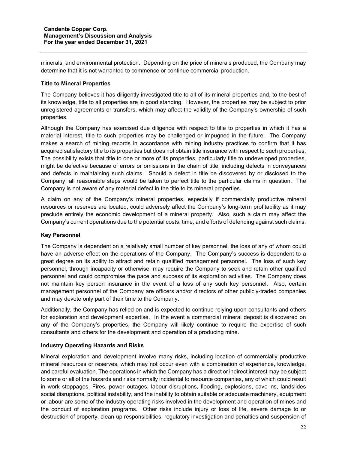minerals, and environmental protection. Depending on the price of minerals produced, the Company may determine that it is not warranted to commence or continue commercial production.

## **Title to Mineral Properties**

The Company believes it has diligently investigated title to all of its mineral properties and, to the best of its knowledge, title to all properties are in good standing. However, the properties may be subject to prior unregistered agreements or transfers, which may affect the validity of the Company's ownership of such properties.

Although the Company has exercised due diligence with respect to title to properties in which it has a material interest, title to such properties may be challenged or impugned in the future. The Company makes a search of mining records in accordance with mining industry practices to confirm that it has acquired satisfactory title to its properties but does not obtain title insurance with respect to such properties. The possibility exists that title to one or more of its properties, particularly title to undeveloped properties, might be defective because of errors or omissions in the chain of title, including defects in conveyances and defects in maintaining such claims. Should a defect in title be discovered by or disclosed to the Company, all reasonable steps would be taken to perfect title to the particular claims in question. The Company is not aware of any material defect in the title to its mineral properties.

A claim on any of the Company's mineral properties, especially if commercially productive mineral resources or reserves are located, could adversely affect the Company's long-term profitability as it may preclude entirely the economic development of a mineral property. Also, such a claim may affect the Company's current operations due to the potential costs, time, and efforts of defending against such claims.

## **Key Personnel**

The Company is dependent on a relatively small number of key personnel, the loss of any of whom could have an adverse effect on the operations of the Company. The Company's success is dependent to a great degree on its ability to attract and retain qualified management personnel. The loss of such key personnel, through incapacity or otherwise, may require the Company to seek and retain other qualified personnel and could compromise the pace and success of its exploration activities. The Company does not maintain key person insurance in the event of a loss of any such key personnel. Also, certain management personnel of the Company are officers and/or directors of other publicly-traded companies and may devote only part of their time to the Company.

Additionally, the Company has relied on and is expected to continue relying upon consultants and others for exploration and development expertise. In the event a commercial mineral deposit is discovered on any of the Company's properties, the Company will likely continue to require the expertise of such consultants and others for the development and operation of a producing mine.

#### **Industry Operating Hazards and Risks**

Mineral exploration and development involve many risks, including location of commercially productive mineral resources or reserves, which may not occur even with a combination of experience, knowledge, and careful evaluation. The operations in which the Company has a direct or indirect interest may be subject to some or all of the hazards and risks normally incidental to resource companies, any of which could result in work stoppages. Fires, power outages, labour disruptions, flooding, explosions, cave-ins, landslides social disruptions, political instability, and the inability to obtain suitable or adequate machinery, equipment or labour are some of the industry operating risks involved in the development and operation of mines and the conduct of exploration programs. Other risks include injury or loss of life, severe damage to or destruction of property, clean-up responsibilities, regulatory investigation and penalties and suspension of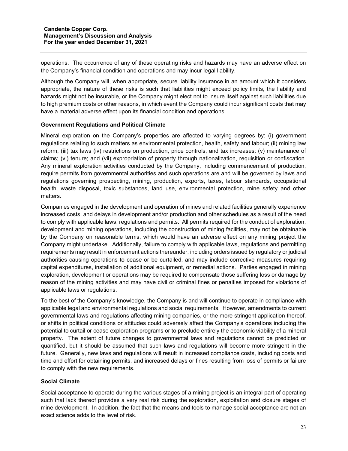operations. The occurrence of any of these operating risks and hazards may have an adverse effect on the Company's financial condition and operations and may incur legal liability.

Although the Company will, when appropriate, secure liability insurance in an amount which it considers appropriate, the nature of these risks is such that liabilities might exceed policy limits, the liability and hazards might not be insurable, or the Company might elect not to insure itself against such liabilities due to high premium costs or other reasons, in which event the Company could incur significant costs that may have a material adverse effect upon its financial condition and operations.

## **Government Regulations and Political Climate**

Mineral exploration on the Company's properties are affected to varying degrees by: (i) government regulations relating to such matters as environmental protection, health, safety and labour; (ii) mining law reform; (iii) tax laws (iv) restrictions on production, price controls, and tax increases; (v) maintenance of claims; (vi) tenure; and (vii) expropriation of property through nationalization, requisition or confiscation. Any mineral exploration activities conducted by the Company, including commencement of production, require permits from governmental authorities and such operations are and will be governed by laws and regulations governing prospecting, mining, production, exports, taxes, labour standards, occupational health, waste disposal, toxic substances, land use, environmental protection, mine safety and other matters.

Companies engaged in the development and operation of mines and related facilities generally experience increased costs, and delays in development and/or production and other schedules as a result of the need to comply with applicable laws, regulations and permits. All permits required for the conduct of exploration, development and mining operations, including the construction of mining facilities, may not be obtainable by the Company on reasonable terms, which would have an adverse effect on any mining project the Company might undertake. Additionally, failure to comply with applicable laws, regulations and permitting requirements may result in enforcement actions thereunder, including orders issued by regulatory or judicial authorities causing operations to cease or be curtailed, and may include corrective measures requiring capital expenditures, installation of additional equipment, or remedial actions. Parties engaged in mining exploration, development or operations may be required to compensate those suffering loss or damage by reason of the mining activities and may have civil or criminal fines or penalties imposed for violations of applicable laws or regulations.

To the best of the Company's knowledge, the Company is and will continue to operate in compliance with applicable legal and environmental regulations and social requirements. However, amendments to current governmental laws and regulations affecting mining companies, or the more stringent application thereof, or shifts in political conditions or attitudes could adversely affect the Company's operations including the potential to curtail or cease exploration programs or to preclude entirely the economic viability of a mineral property. The extent of future changes to governmental laws and regulations cannot be predicted or quantified, but it should be assumed that such laws and regulations will become more stringent in the future. Generally, new laws and regulations will result in increased compliance costs, including costs and time and effort for obtaining permits, and increased delays or fines resulting from loss of permits or failure to comply with the new requirements.

## **Social Climate**

Social acceptance to operate during the various stages of a mining project is an integral part of operating such that lack thereof provides a very real risk during the exploration, exploitation and closure stages of mine development. In addition, the fact that the means and tools to manage social acceptance are not an exact science adds to the level of risk.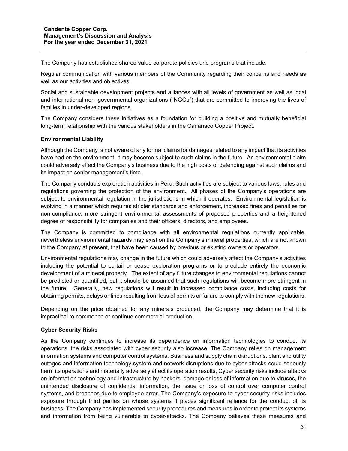The Company has established shared value corporate policies and programs that include:

Regular communication with various members of the Community regarding their concerns and needs as well as our activities and objectives.

Social and sustainable development projects and alliances with all levels of government as well as local and international non–governmental organizations ("NGOs") that are committed to improving the lives of families in under-developed regions.

The Company considers these initiatives as a foundation for building a positive and mutually beneficial long-term relationship with the various stakeholders in the Cañariaco Copper Project.

## **Environmental Liability**

Although the Company is not aware of any formal claims for damages related to any impact that its activities have had on the environment, it may become subject to such claims in the future. An environmental claim could adversely affect the Company's business due to the high costs of defending against such claims and its impact on senior management's time.

The Company conducts exploration activities in Peru. Such activities are subject to various laws, rules and regulations governing the protection of the environment. All phases of the Company's operations are subject to environmental regulation in the jurisdictions in which it operates. Environmental legislation is evolving in a manner which requires stricter standards and enforcement, increased fines and penalties for non-compliance, more stringent environmental assessments of proposed properties and a heightened degree of responsibility for companies and their officers, directors, and employees.

The Company is committed to compliance with all environmental regulations currently applicable, nevertheless environmental hazards may exist on the Company's mineral properties, which are not known to the Company at present, that have been caused by previous or existing owners or operators.

Environmental regulations may change in the future which could adversely affect the Company's activities including the potential to curtail or cease exploration programs or to preclude entirely the economic development of a mineral property. The extent of any future changes to environmental regulations cannot be predicted or quantified, but it should be assumed that such regulations will become more stringent in the future. Generally, new regulations will result in increased compliance costs, including costs for obtaining permits, delays or fines resulting from loss of permits or failure to comply with the new regulations.

Depending on the price obtained for any minerals produced, the Company may determine that it is impractical to commence or continue commercial production.

#### **Cyber Security Risks**

As the Company continues to increase its dependence on information technologies to conduct its operations, the risks associated with cyber security also increase. The Company relies on management information systems and computer control systems. Business and supply chain disruptions, plant and utility outages and information technology system and network disruptions due to cyber-attacks could seriously harm its operations and materially adversely affect its operation results, Cyber security risks include attacks on information technology and infrastructure by hackers, damage or loss of information due to viruses, the unintended disclosure of confidential information, the issue or loss of control over computer control systems, and breaches due to employee error. The Company's exposure to cyber security risks includes exposure through third parties on whose systems it places significant reliance for the conduct of its business. The Company has implemented security procedures and measures in order to protect its systems and information from being vulnerable to cyber-attacks. The Company believes these measures and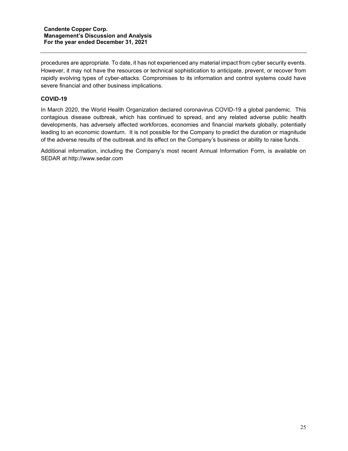procedures are appropriate. To date, it has not experienced any material impact from cyber security events. However, it may not have the resources or technical sophistication to anticipate, prevent, or recover from rapidly evolving types of cyber-attacks. Compromises to its information and control systems could have severe financial and other business implications.

## **COVID-19**

In March 2020, the World Health Organization declared coronavirus COVID-19 a global pandemic. This contagious disease outbreak, which has continued to spread, and any related adverse public health developments, has adversely affected workforces, economies and financial markets globally, potentially leading to an economic downturn. It is not possible for the Company to predict the duration or magnitude of the adverse results of the outbreak and its effect on the Company's business or ability to raise funds.

Additional information, including the Company's most recent Annual Information Form, is available on SEDAR at [http://www.sedar.com](http://www.sedar.com/)